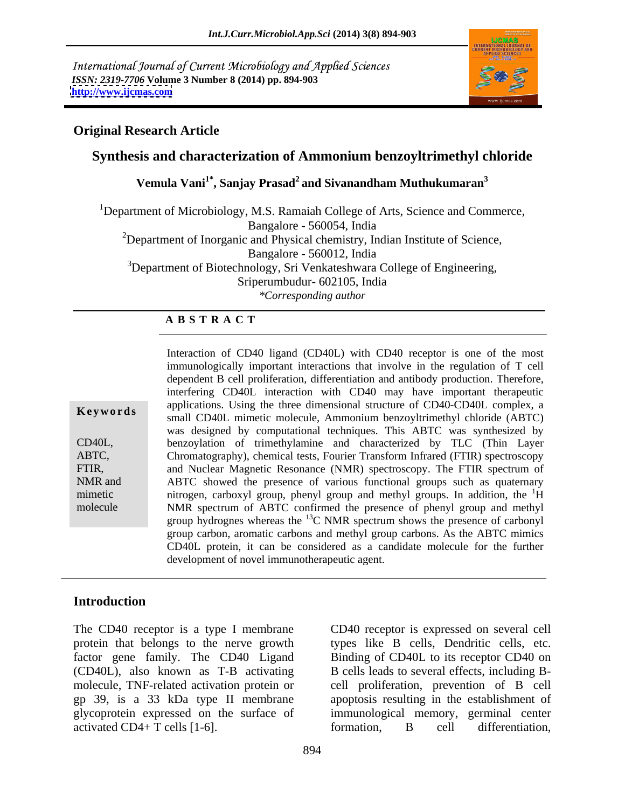International Journal of Current Microbiology and Applied Sciences *ISSN: 2319-7706* **Volume 3 Number 8 (2014) pp. 894-903 <http://www.ijcmas.com>**



### **Original Research Article**

## **Synthesis and characterization of Ammonium benzoyltrimethyl chloride**

**Vemula Vani1\* , Sanjay Prasad2 and Sivanandham Muthukumaran3**

<sup>1</sup>Department of Microbiology, M.S. Ramaiah College of Arts, Science and Commerce, Bangalore - 560054, India  $2D$ epartment of Inorganic and Physical chemistry, Indian Institute of Science, Bangalore - 560012, India <sup>3</sup>Department of Biotechnology, Sri Venkateshwara College of Engineering, Sriperumbudur- 602105, India *\*Corresponding author* 

#### **A B S T R A C T**

**Keywords** approacholistic unique differential conduction of CD40-CD40L complex, a small CD40L mimetic molecule, Ammonium benzoyltrimethyl chloride (ABTC) CD40L, benzoylation of trimethylamine and characterized by TLC (Thin Layer ABTC, Chromatography), chemical tests, Fourier Transform Infrared (FTIR) spectroscopy FTIR, and Nuclear Magnetic Resonance (NMR) spectroscopy. The FTIR spectrum of NMR and ABTC showed the presence of various functional groups such as quaternary mimetic introgen, carboxyl group, phenyl group and methyl groups. In addition, the <sup>1</sup>H molecule NMR spectrum of ABTC confirmed the presence of phenyl group and methyl Interaction of CD40 ligand (CD40L) with CD40 receptor is one of the most immunologically important interactions that involve in the regulation of T cell dependent B cell proliferation, differentiation and antibody production. Therefore, interfering CD40L interaction with CD40 may have important therapeutic applications. Using the three dimensional structure of CD40-CD40L complex, a was designed by computational techniques.This ABTC was synthesized by group hydrognes whereas the  $^{13}$ C NMR spectrum shows the presence of carbonyl group carbon, aromatic carbons and methyl group carbons. As the ABTC mimics CD40L protein, it can be considered as a candidate molecule for the further development of novel immunotherapeutic agent.

#### **Introduction**

factor gene family. The CD40 Ligand (CD40L), also known as T-B activating activated CD4+ T cells [1-6]. formation, B cell differentiation,

The CD40 receptor is a type I membrane CD40 receptor is expressed on several cell protein that belongs to the nerve growth types like B cells, Dendritic cells, etc. molecule, TNF-related activation protein or cell proliferation, prevention of B cell gp 39, is a 33 kDa type II membrane apoptosis resulting in the establishment of glycoprotein expressed on the surface of immunological memory, germinal center Binding of CD40L to its receptor CD40 on B cells leads to several effects, including B formation, B cell differentiation,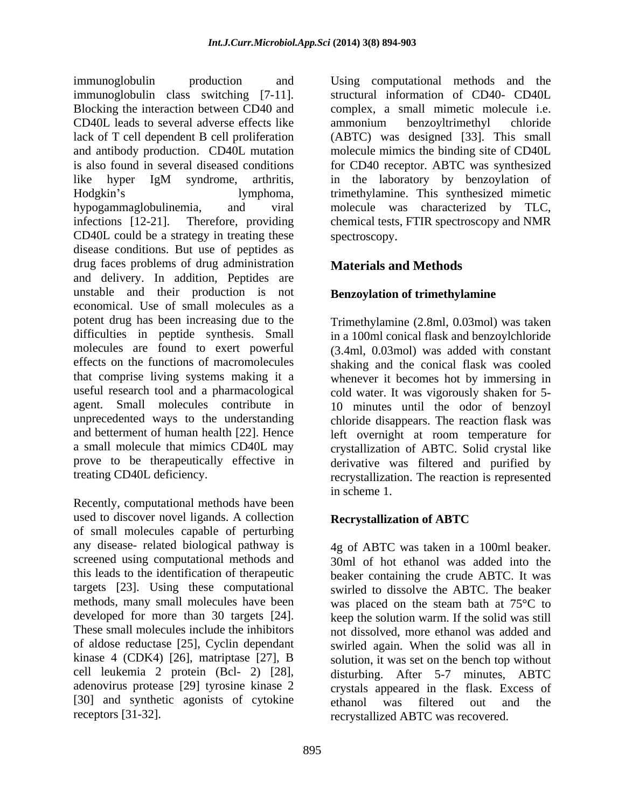immunoglobulin production and Using computational methods and the immunoglobulin class switching [7-11]. structural information of CD40- CD40L Blocking the interaction between CD40 and complex, a small mimetic molecule i.e. CD40L leads to several adverse effects like lack of T cell dependent B cell proliferation (ABTC) was designed [33]. This small and antibody production. CD40L mutation is also found in several diseased conditions for CD40 receptor. ABTC was synthesized like hyper IgM syndrome, arthritis, in the laboratory by benzoylation of Hodgkin's lymphoma, trimethylamine. This synthesized mimetic hypogammaglobulinemia, and viral molecule was characterized by TLC, infections [12-21]. Therefore, providing chemical tests, FTIR spectroscopy and NMR CD40L could be a strategy in treating these disease conditions. But use of peptides as drug faces problems of drug administration and delivery. In addition, Peptides are unstable and their production is not economical. Use of small molecules as a potent drug has been increasing due to the Trimethylamine (2.8ml, 0.03mol) was taken difficulties in peptide synthesis. Small molecules are found to exert powerful (3.4ml, 0.03mol) was added with constant effects on the functions of macromolecules shaking and the conical flask was cooled that comprise living systems making it a whenever it becomes hot by immersing in useful research tool and a pharmacological agent. Small molecules contribute in 10 minutes until the odor of benzoyl unprecedented ways to the understanding chloride disappears. The reaction flask was and betterment of human health [22]. Hence left overnight at room temperature for a small molecule that mimics CD40L may crystallization of ABTC. Solid crystal like prove to be therapeutically effective in derivative was filtered and purified by

Recently, computational methods have been used to discover novel ligands. A collection Recrystallization of ABTC of small molecules capable of perturbing any disease- related biological pathway is targets [23]. Using these computational of aldose reductase [25], Cyclin dependant kinase 4 (CDK4) [26], matriptase [27], B [30] and synthetic agonists of cytokine ethanol was filtered out and the

ammonium benzoyltrimethyl chloride molecule mimics the binding site of CD40L spectroscopy.

## **Materials and Methods**

## **Benzoylation of trimethylamine**

treating CD40L deficiency. recrystallization. The reaction is represented in a 100ml conical flask and benzoylchloride cold water. It was vigorously shaken for 5 in scheme 1.

## **Recrystallization of ABTC**

screened using computational methods and 30ml of hot ethanol was added into the this leads to the identification of therapeutic beaker containing the crude ABTC. It was methods, many small molecules have been was placed on the steam bath at 75°C to developed for more than 30 targets [24]. keep the solution warm. If the solid was still These small molecules include the inhibitors not dissolved, more ethanol was added and cell leukemia 2 protein (Bcl- 2) [28], disturbing. After 5-7 minutes, ABTC adenovirus protease [29] tyrosine kinase 2 crystals appeared in the flask. Excess of receptors [31-32]. recrystallized ABTC was recovered.4g of ABTC was taken in a 100ml beaker. swirled to dissolve the ABTC. The beaker swirled again. When the solid was all in solution, it was set on the bench top without ethanol was filtered out and the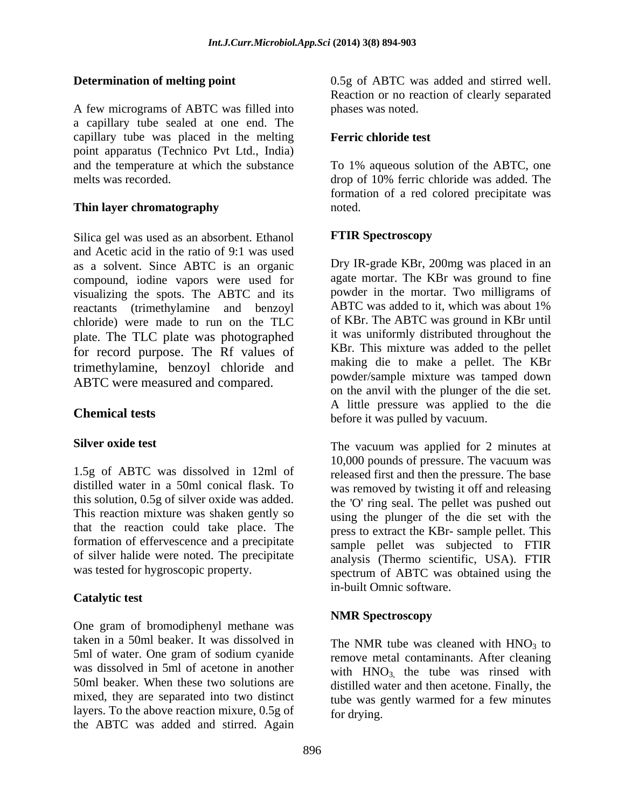A few micrograms of ABTC was filled into a capillary tube sealed at one end. The capillary tube was placed in the melting Ferric chloride test point apparatus (Technico Pvt Ltd., India)<br>and the temperature at which the substance and the temperature at which the substance To 1% aqueous solution of the ABTC, one melts was recorded. drop of 10% ferric chloride was added. The

#### **Thin layer chromatography** noted.

Silica gel was used as an absorbent. Ethanol **FTIR Spectroscopy** and Acetic acid in the ratio of 9:1 was used as a solvent. Since ABTC is an organic compound, iodine vapors were used for visualizing the spots. The ABTC and its<br>reactants (trimethylamine and benzovl<br>ABTC was added to it, which was about 1% reactants (trimethylamine and benzoyl chloride) were made to run on the TLC plate. The TLC plate was photographed for record purpose. The Rf values of trimethylamine, benzoyl chloride and ABTC were measured and compared.

1.5g of ABTC was dissolved in 12ml of distilled water in a 50ml conical flask. To this solution, 0.5g of silver oxide was added. that the reaction could take place. The formation of effervescence and a precipitate of silver halide were noted. The precipitate

## **Catalytic test**

One gram of bromodiphenyl methane was<br>
NMR Spectroscopy taken in a 50ml beaker. It was dissolved in 5ml of water. One gram of sodium cyanide was dissolved in 5ml of acetone in another 50ml beaker. When these two solutions are distilled water and then acetone. Finally, the mixed, they are separated into two distinct layers. To the above reaction mixure, 0.5g of the ABTC was added and stirred. Again

**Determination of melting point** 0.5g of ABTC was added and stirred well. Reaction or no reaction of clearly separated phases was noted.

#### **Ferric chloride test**

formation of a red colored precipitate was noted.

#### **FTIR Spectroscopy**

**Chemical tests**<br>
before it was pulled by vacuum. Dry IR-grade KBr, 200mg was placed in an agate mortar. The KBr was ground to fine powder in the mortar. Two milligrams of ABTC was added to it, which was about 1% of KBr. The ABTC was ground in KBr until it was uniformly distributed throughout the KBr. This mixture was added to the pellet making die to make a pellet. The KBr powder/sample mixture was tamped down on the anvil with the plunger of the die set. A little pressure was applied to the die

**Silver oxide test** The vacuum was applied for 2 minutes at This reaction mixture was shaken gently so using the plunger of the die set with the was tested for hygroscopic property.<br>
spectrum of ABTC was obtained using the 10,000 pounds of pressure. The vacuum was released first and then the pressure. The base was removed by twisting it off and releasing the 'O' ring seal. The pellet was pushed out press to extract the KBr- sample pellet. This sample pellet was subjected to FTIR analysis (Thermo scientific, USA). FTIR in-built Omnic software.

#### **NMR Spectroscopy**

The NMR tube was cleaned with  $HNO<sub>3</sub>$  to remove metal contaminants. After cleaning with  $HNO<sub>3</sub>$ , the tube was rinsed with tube was gently warmed for a few minutes for drying.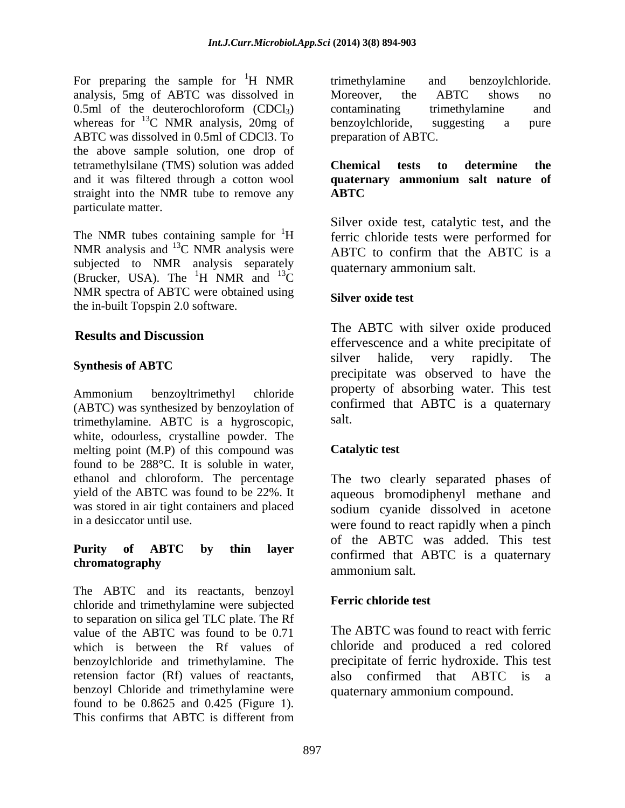For preparing the sample for  ${}^{1}H$  NMR trimethylamine and benzoylchloride. analysis, 5mg of ABTC was dissolved in  $0.5$ ml of the deuterochloroform  $(CDCl<sub>3</sub>)$  contaminating trimethylamine and whereas for  $^{13}$ C NMR analysis, 20mg of benzoylchloride, suggesting a pure ABTC was dissolved in 0.5ml of CDCl3. To the above sample solution, one drop of tetramethylsilane (TMS) solution was added **Chemical tests to determine the** and it was filtered through a cotton wool **quaternary ammonium salt nature of** straight into the NMR tube to remove any **ABTC** particulate matter.

The NMR tubes containing sample for  ${}^{1}H$  ferric chloride tests were performed for NMR analysis and <sup>13</sup>C NMR analysis were ABTC to confirm that the ABTC is a subjected to NMR analysis separately (Brucker, USA). The  ${}^{1}H$  NMR and  ${}^{13}C$  ${}^{1}$ H NMR and  ${}^{13}$ C quality and quality and  ${}^{1}$ NMR spectra of ABTC were obtained using<br>
Silver oxide test the in-built Topspin 2.0 software.

Ammonium benzoyltrimethyl chloride  $\mu$ property or absorbing water. This lest (ABTC) was synthesized by benzoylation of  $\frac{\text{conf}}{\text{trimethylamine}}$  ABTC is a hygroscopic salt. trimethylamine. ABTC is a hygroscopic, white, odourless, crystalline powder. The melting point (M.P) of this compound was **Catalytic test** found to be 288°C. It is soluble in water, ethanol and chloroform. The percentage The two clearly separated phases of yield of the ABTC was found to be 22%. It aqueous bromodiphenyl methane and was stored in air tight containers and placed sodium cyanide dissolved in acetone

The ABTC and its reactants, benzoyl chloride and trimethylamine were subjected to separation on silica gel TLC plate. The Rf value of the ABTC was found to be 0.71 which is between the Rf values of chloride and produced a red colored benzoylchloride and trimethylamine. The retension factor (Rf) values of reactants, also confirmed that ABTC is a benzoyl Chloride and trimethylamine were found to be 0.8625 and 0.425 (Figure 1). This confirms that ABTC is different from

<sup>1</sup>H NMR trimethylamine and benzoylchloride. trimethylamine and benzoylchloride. Moreover, the ABTC shows no contaminating trimethylamine and benzoylchloride, suggesting a pure preparation of ABTC.

## **Chemical tests to determine the ABTC**

 $^{13}$ C quaternary animonium said. Silver oxide test, catalytic test, and the quaternary ammonium salt.

### **Silver oxide test**

**Results and Discussion** Synthesis of ABTC **Synthesis of ABTC Superior Synthesis of ABTC** The ABTC with silver oxide produced effervescence and a white precipitate of silver halide, very rapidly. The precipitate was observed to have the property of absorbing water. This test confirmed that ABTC is a quaternary salt.

#### **Catalytic test**

in a desiccator until use. were found to react rapidly when a pinch **Purity of ABTC by thin layer commuted** that typic is a qualitary commuter of the commute of the commute of the commute of the commute of the commute of the commute of the commute of the commute of the commute of the commute of the commute of the comm of the ABTC was added. This test confirmed that ABTC is a quaternary ammonium salt.

#### **Ferric chloride test**

The ABTC was found to react with ferric precipitate of ferric hydroxide. This test quaternary ammonium compound.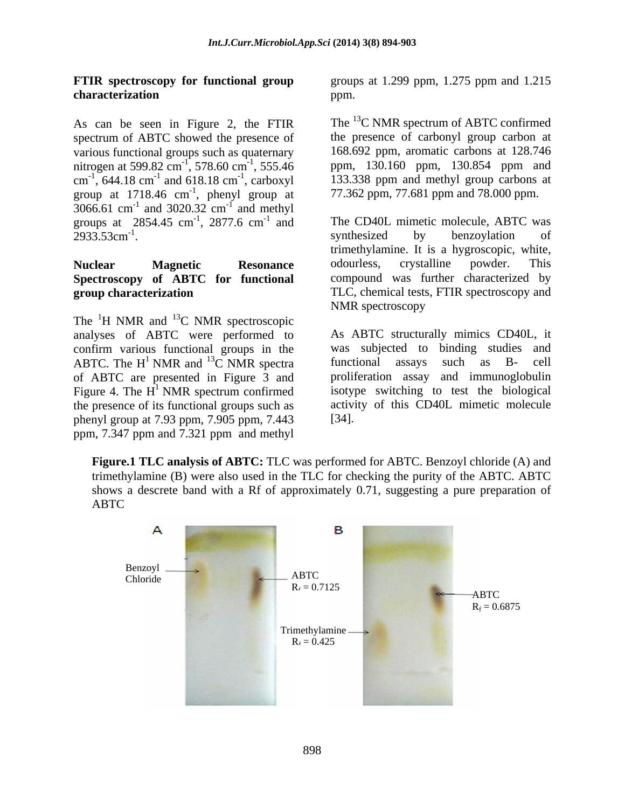## **characterization**

As can be seen in Figure 2, the FTIR spectrum of ABTC showed the presence of various functional groups such as quaternary nitrogen at 599.82 cm<sup>-1</sup>, 578.60 cm<sup>-1</sup>, 555.46<br>cm<sup>-1</sup>, 644.18 cm<sup>-1</sup> and 618.18 cm<sup>-1</sup>, carboxyl group at  $1718.46$  cm<sup>-1</sup>, phenyl group at  $3066.61$  cm<sup>-1</sup> and  $3020.32$  cm<sup>-1</sup> and methyl and  $3020.32 \text{ cm}^{-1}$  and methyl  $\frac{1}{2}$  and mathyl and methyl groups at 2854.45 cm<sup>-1</sup>, 2877.6 cm<sup>-1</sup> and 2933.53cm<sup>-1</sup>.

# **Spectroscopy of ABTC for functional**

The  ${}^{1}$ H NMR and  ${}^{13}$ C NMR spectroscopic  $^{13}$ C NMR spectroscopic analyses of ABTC were performed to confirm various functional groups in the ABTC. The H<sup>1</sup> NMR and <sup>13</sup>C NMR spectra functional assays such as B- cell of ABTC are presented in Figure 3 and Figure 4. The  $H^1$  NMR spectrum confirmed the presence of its functional groups such as phenyl group at 7.93 ppm, 7.905 ppm, 7.443 ppm, 7.347 ppm and 7.321 ppm and methyl

**FTIR spectroscopy for functional group** groups at 1.299 ppm, 1.275 ppm and 1.215 ppm.

 $^{-1}$ , 578.60 cm<sup>-1</sup>, 555.46 ppm, 130.160 ppm, 130.854 ppm and , 578.60 cm<sup>-1</sup>, 555.46 ppm, 130.160 ppm, 130.854 ppm and cm<sup>-1</sup>, 644.18 cm<sup>-1</sup> and 618.18 cm<sup>-1</sup>, carboxyl 133.338 ppm and methyl group carbons at -1 , phenyl group at 77.362 ppm, 77.681 ppm and 78.000 ppm. The <sup>13</sup>C NMR spectrum of ABTC confirmed the presence of carbonyl group carbon at 168.692 ppm, aromatic carbons at 128.746

 $^{-1}$ , 2877.6 cm<sup>-1</sup> and The CD40L mimetic molecule, ABTC was , 2877.6 cm<sup>-1</sup> and The CD40L mimetic molecule, ABTC was  $2933.53 \text{cm}^{-1}$ . example in the synthesized by benzoylation of **Nuclear Magnetic Resonance group characterization** TLC, chemical tests, FTIR spectroscopy and synthesized by benzoylation of trimethylamine. It is a hygroscopic, white, odourless, crystalline powder. This compound was further characterized by NMR spectroscopy

<sup>1</sup> NMR and <sup>13</sup>C NMR spectra functional assays such as B- cell  $^{13}$ C NMR spectra functional assays such as B- cell <sup>1</sup> NMR spectrum confirmed isotype switching to test the biological As ABTC structurally mimics CD40L, it was subjected to binding studies and functional assays such as B- cell proliferation assay and immunoglobulin activity of this CD40L mimetic molecule [34].

**Figure.1 TLC analysis of ABTC:** TLC was performed for ABTC. Benzoyl chloride (A) and trimethylamine (B) were also used in the TLC for checking the purity of the ABTC. ABTC shows a descrete band with a Rf of approximately 0.71, suggesting a pure preparation of ABTC

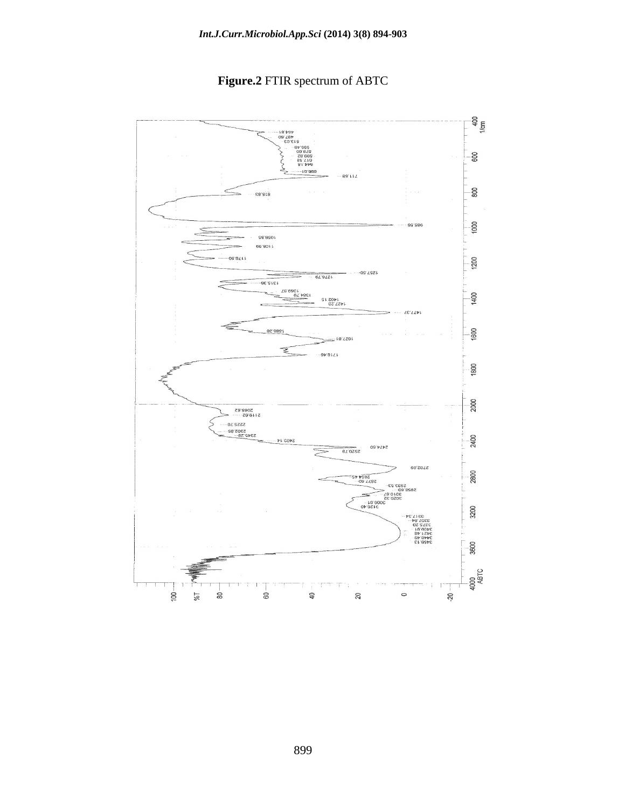

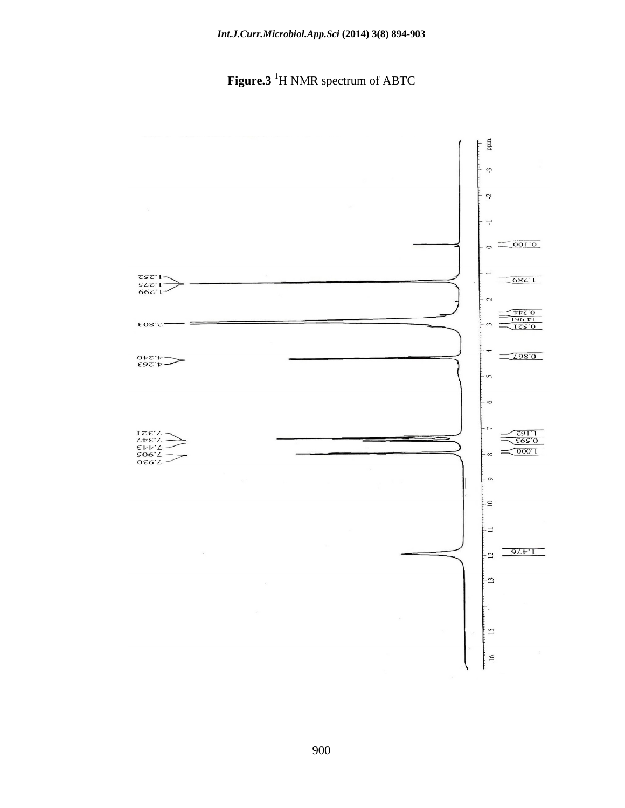**Figure.3** 1H NMR spectrum of ABTC

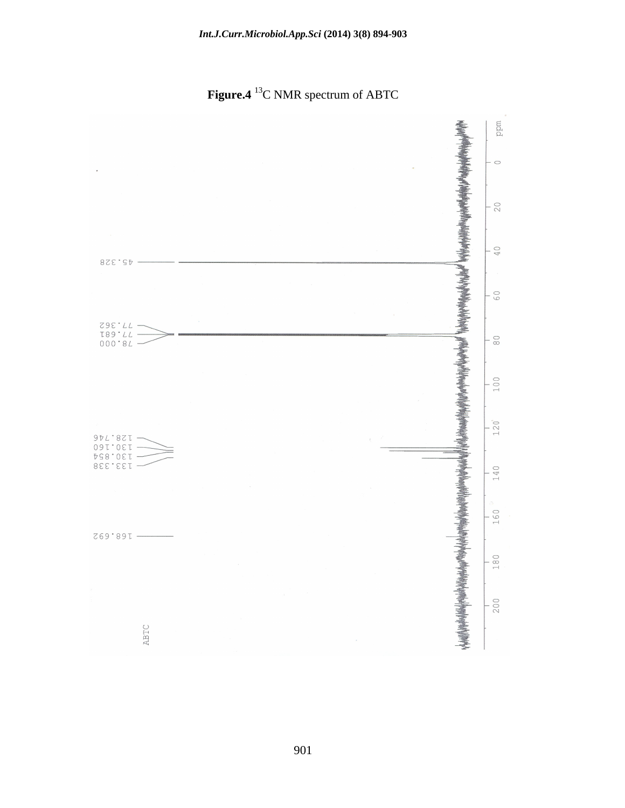**Figure.4** 13C NMR spectrum of ABTC

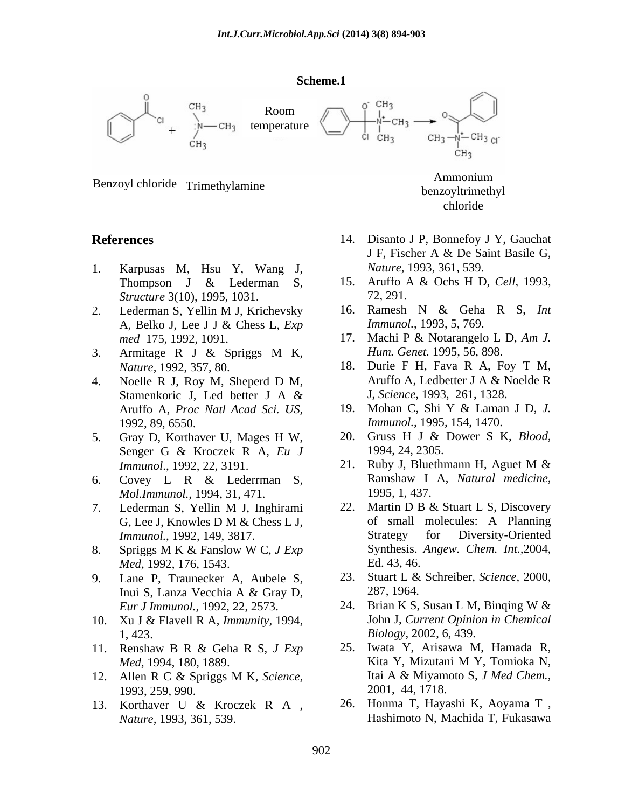#### **Scheme.1**



Benzoyl chloride Trimethylamine and the contract of the contract of the Benzovltrimeth

- 1. Karpusas M, Hsu Y, Wang J, *Structure* 3(10), 1995, 1031.
- med 175, 1992, 1091. 17. Machi P & Notarangelo L D, Am J.
- 3. Armitage R J & Spriggs M K, *Hum. Genet.* 1995, 56, 898.
- Stamenkoric J, Led better J A  $\&$  J, Science, 1993, 261, 1328.
- 5. Gray D, Korthaver U, Mages H W, 20. Gruss H J & Dower S K, *Blood,*  Senger G & Kroczek R A, *Eu J*
- *Mol.Immunol.,* 1994, 31, 471.
- *Immunol.*, 1992, 149, 3817.
- *Med,* 1992, 176, 1543.<br> **Lane P. Traunecker A. Aubele S.** 23. Stuart L & Schreiber, *Science*, 2000,
- 9. Lane P, Traunecker A, Aubele S, *Eur J Immunol.,* 1992, 22, 2573.
- 10. Xu J & Flavell R A, *Immunity,* 1994,
- 
- 1993, 259, 990.
- 13. Korthaver U & Kroczek R A ,

**References** 14. Disanto J P, Bonnefoy J Y, Gauchat J F, Fischer A & De Saint Basile G, *Nature,* 1993, 361, 539.

benzoyltrimethyl chloride

Ammonium

- Thompson J & Lederman S, 15. Aruffo A & Ochs H D, Cell, 1993, 15. Aruffo A & Ochs H D, *Cell,* 1993, 72, 291.
- 2. Lederman S, Yellin M J, Krichevsky 16. Ramesh N & Geha R S, Int A, Belko J, Lee J J & Chess L, *Exp*  16. Ramesh N & Geha R S, *Int Immunol.*, 1993, 5, 769.
	- 17. Machi P & Notarangelo L D, *Am J. Hum. Genet.* 1995*,* 56, 898.
- *Nature,* 1992, 357, 80. 18. Durie F H, Fava R A, Foy T M, 4. Noelle R J, Roy M, Sheperd D M, Aruffo A, Ledbetter J A & Noelde R Aruffo A, Ledbetter J A & Noelde R J, *Science,* 1993, 261, 1328.
	- Aruffo A, *Proc Natl Acad Sci. US,* 1992*,* 89, 6550. *Immunol.,* 1995*,* 154, 1470. 19. Mohan C, Shi Y & Laman J D, *J.* 
		- 1994, 24, 2305.
- *Immunol.*, 1992, 22, 3191. 21. Ruby J, Bluethmann H, Aguet M & 6. Covey L R & Lederrman S, Ramshaw I A, Natural medicine, 21. Ruby J, Bluethmann H, Aguet M  $\&$ Ramshaw I A, *Natural medicine,* 1995*,* 1, 437.
- 7. Lederman S, Yellin M J, Inghirami G, Lee J, Knowles D M & Chess L J, of small molecules: A Planning<br>
Immunol. 1992. 149. 3817. Strategy for Diversity-Oriented 8. Spriggs M K & Fanslow W C, *J Exp* 22. Martin D B & Stuart L S, Discovery of small molecules: A Planning Strategy for Diversity-Oriented Synthesis. *Angew. Chem. Int.,*2004, Ed. 43, 46.
	- Inui S, Lanza Vecchia A & Gray D, 23. Stuart L & Schreiber, *Science,* 2000, 287, 1964.
	- 1, 423. *Biology,* 2002, 6, 439. 24. Brian K S, Susan L M, Binqing W  $&$ John J, *Current Opinion in Chemical*
- 11. Renshaw B R & Geha R S, *J Exp Med,* 1994, 180, 1889. **Kita Y, Mizutani M Y, Tomioka N,** 12. Allen R C & Spriggs M K, *Science,*  25. Iwata Y, Arisawa M, Hamada R, Kita Y, Mizutani M Y, Tomioka N, Itai A & Miyamoto S, *J Med Chem.,* 2001, 44, 1718.
	- *Nature,* 1993, 361, 539. Hashimoto N, Machida T, Fukasawa 26. Honma T, Hayashi K, Aoyama T ,